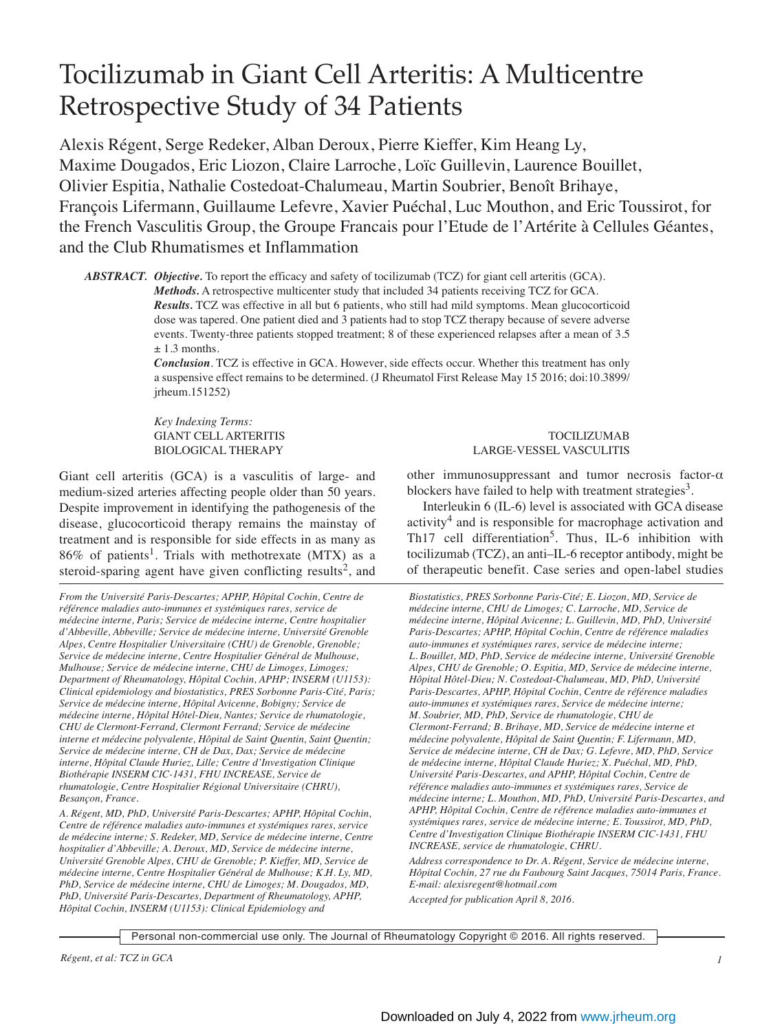# Tocilizumab in Giant Cell Arteritis: A Multicentre Retrospective Study of 34 Patients

Alexis Régent, Serge Redeker, Alban Deroux, Pierre Kieffer, Kim Heang Ly, Maxime Dougados, Eric Liozon, Claire Larroche, Loïc Guillevin, Laurence Bouillet, Olivier Espitia, Nathalie Costedoat-Chalumeau, Martin Soubrier, Benoît Brihaye, François Lifermann, Guillaume Lefevre, Xavier Puéchal, Luc Mouthon, and Eric Toussirot, for the French Vasculitis Group, the Groupe Francais pour l'Etude de l'Artérite à Cellules Géantes, and the Club Rhumatismes et Inflammation

*ABSTRACT. Objective.* To report the efficacy and safety of tocilizumab (TCZ) for giant cell arteritis (GCA).

*Methods.* A retrospective multicenter study that included 34 patients receiving TCZ for GCA. *Results.* TCZ was effective in all but 6 patients, who still had mild symptoms. Mean glucocorticoid dose was tapered. One patient died and 3 patients had to stop TCZ therapy because of severe adverse events. Twenty-three patients stopped treatment; 8 of these experienced relapses after a mean of 3.5  $+1.3$  months.

*Conclusion*. TCZ is effective in GCA. However, side effects occur. Whether this treatment has only a suspensive effect remains to be determined. (J Rheumatol First Release May 15 2016; doi:10.3899/ jrheum.151252)

*Key Indexing Terms:* 

Giant cell arteritis (GCA) is a vasculitis of large- and medium-sized arteries affecting people older than 50 years. Despite improvement in identifying the pathogenesis of the disease, glucocorticoid therapy remains the mainstay of treatment and is responsible for side effects in as many as  $86\%$  of patients<sup>1</sup>. Trials with methotrexate (MTX) as a steroid-sparing agent have given conflicting results<sup>2</sup>, and

*From the Université Paris-Descartes; APHP, Hôpital Cochin, Centre de référence maladies auto-immunes et systémiques rares, service de médecine interne, Paris; Service de médecine interne, Centre hospitalier d'Abbeville, Abbeville; Service de médecine interne, Université Grenoble Alpes, Centre Hospitalier Universitaire (CHU) de Grenoble, Grenoble; Service de médecine interne, Centre Hospitalier Général de Mulhouse, Mulhouse; Service de médecine interne, CHU de Limoges, Limoges; Department of Rheumatology, Hôpital Cochin, APHP; INSERM (U1153): Clinical epidemiology and biostatistics, PRES Sorbonne Paris-Cité, Paris; Service de médecine interne, Hôpital Avicenne, Bobigny; Service de médecine interne, Hôpital Hôtel-Dieu, Nantes; Service de rhumatologie, CHU de Clermont-Ferrand, Clermont Ferrand; Service de médecine interne et médecine polyvalente, Hôpital de Saint Quentin, Saint Quentin; Service de médecine interne, CH de Dax, Dax; Service de médecine interne, Hôpital Claude Huriez, Lille; Centre d'Investigation Clinique Biothérapie INSERM CIC-1431, FHU INCREASE, Service de rhumatologie, Centre Hospitalier Régional Universitaire (CHRU), Besançon, France.* 

*A. Régent, MD, PhD, Université Paris-Descartes; APHP, Hôpital Cochin, Centre de référence maladies auto-immunes et systémiques rares, service de médecine interne; S. Redeker, MD, Service de médecine interne, Centre hospitalier d'Abbeville; A. Deroux, MD, Service de médecine interne, Université Grenoble Alpes, CHU de Grenoble; P. Kieffer, MD, Service de médecine interne, Centre Hospitalier Général de Mulhouse; K.H. Ly, MD, PhD, Service de médecine interne, CHU de Limoges; M. Dougados, MD, PhD, Université Paris-Descartes, Department of Rheumatology, APHP, Hôpital Cochin, INSERM (U1153): Clinical Epidemiology and*

## GIANT CELL ARTERITIS **TOCILIZUMAB** BIOLOGICAL THERAPY LARGE-VESSEL VASCULITIS

other immunosuppressant and tumor necrosis factor-α blockers have failed to help with treatment strategies<sup>3</sup>.

Interleukin 6 (IL-6) level is associated with GCA disease activity<sup>4</sup> and is responsible for macrophage activation and Th17 cell differentiation<sup>5</sup>. Thus, IL-6 inhibition with tocilizumab (TCZ), an anti–IL-6 receptor antibody, might be of therapeutic benefit. Case series and open-label studies

*Biostatistics, PRES Sorbonne Paris-Cité; E. Liozon, MD, Service de médecine interne, CHU de Limoges; C. Larroche, MD, Service de médecine interne, Hôpital Avicenne; L. Guillevin, MD, PhD, Université Paris-Descartes; APHP, Hôpital Cochin, Centre de référence maladies auto-immunes et systémiques rares, service de médecine interne; L. Bouillet, MD, PhD, Service de médecine interne, Université Grenoble Alpes, CHU de Grenoble; O. Espitia, MD, Service de médecine interne, Hôpital Hôtel-Dieu; N. Costedoat-Chalumeau, MD, PhD, Université Paris-Descartes, APHP, Hôpital Cochin, Centre de référence maladies auto-immunes et systémiques rares, Service de médecine interne; M. Soubrier, MD, PhD, Service de rhumatologie, CHU de Clermont-Ferrand; B. Brihaye, MD, Service de médecine interne et médecine polyvalente, Hôpital de Saint Quentin; F. Lifermann, MD, Service de médecine interne, CH de Dax; G. Lefevre, MD, PhD, Service de médecine interne, Hôpital Claude Huriez; X. Puéchal, MD, PhD, Université Paris-Descartes, and APHP, Hôpital Cochin, Centre de référence maladies auto-immunes et systémiques rares, Service de médecine interne; L. Mouthon, MD, PhD, Université Paris-Descartes, and APHP, Hôpital Cochin, Centre de référence maladies auto-immunes et systémiques rares, service de médecine interne; E. Toussirot, MD, PhD, Centre d'Investigation Clinique Biothérapie INSERM CIC-1431, FHU INCREASE, service de rhumatologie, CHRU.* 

*Address correspondence to Dr. A. Régent, Service de médecine interne, Hôpital Cochin, 27 rue du Faubourg Saint Jacques, 75014 Paris, France. E-mail: alexisregent@hotmail.com*

*Accepted for publication April 8, 2016.*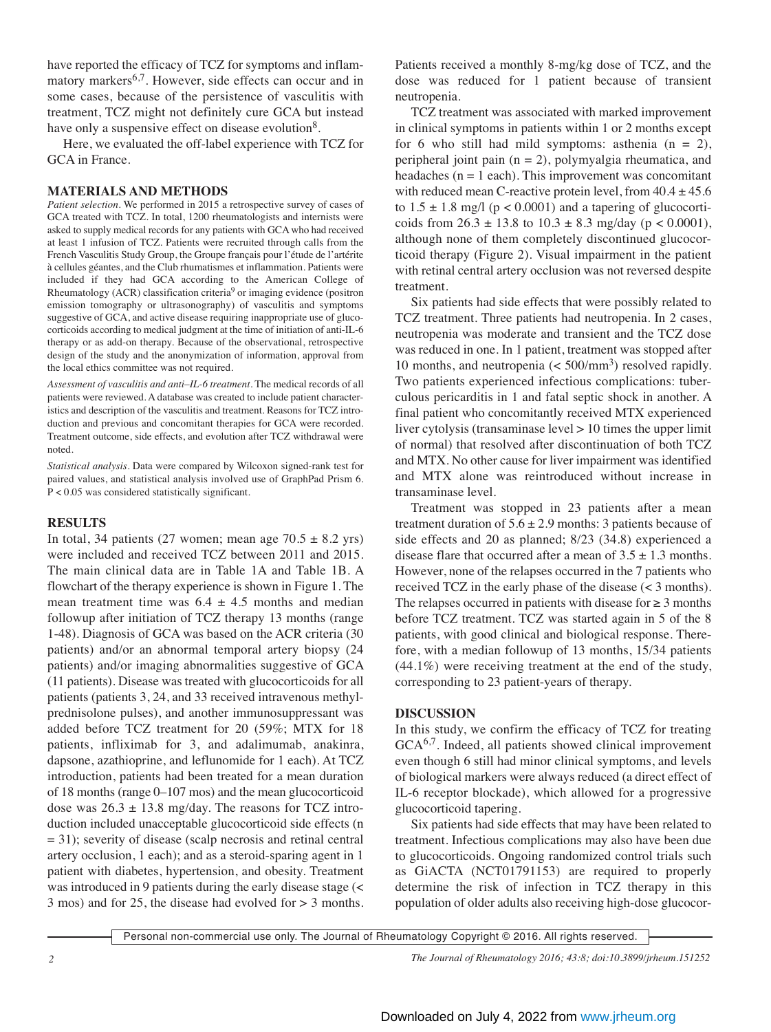have reported the efficacy of TCZ for symptoms and inflammatory markers<sup>6,7</sup>. However, side effects can occur and in some cases, because of the persistence of vasculitis with treatment, TCZ might not definitely cure GCA but instead have only a suspensive effect on disease evolution<sup>8</sup>.

Here, we evaluated the off-label experience with TCZ for GCA in France.

#### **MATERIALS AND METHODS**

*Patient selection.* We performed in 2015 a retrospective survey of cases of GCA treated with TCZ. In total, 1200 rheumatologists and internists were asked to supply medical records for any patients with GCA who had received at least 1 infusion of TCZ. Patients were recruited through calls from the French Vasculitis Study Group, the Groupe français pour l'étude de l'artérite à cellules géantes, and the Club rhumatismes et inflammation. Patients were included if they had GCA according to the American College of Rheumatology (ACR) classification criteria<sup>9</sup> or imaging evidence (positron emission tomography or ultrasonography) of vasculitis and symptoms suggestive of GCA, and active disease requiring inappropriate use of glucocorticoids according to medical judgment at the time of initiation of anti-IL-6 therapy or as add-on therapy. Because of the observational, retrospective design of the study and the anonymization of information, approval from the local ethics committee was not required.

*Assessment of vasculitis and anti–IL-6 treatment.* The medical records of all patients were reviewed. A database was created to include patient characteristics and description of the vasculitis and treatment. Reasons for TCZ introduction and previous and concomitant therapies for GCA were recorded. Treatment outcome, side effects, and evolution after TCZ withdrawal were noted.

*Statistical analysis.* Data were compared by Wilcoxon signed-rank test for paired values, and statistical analysis involved use of GraphPad Prism 6. P < 0.05 was considered statistically significant.

## **RESULTS**

In total, 34 patients (27 women; mean age  $70.5 \pm 8.2$  yrs) were included and received TCZ between 2011 and 2015. The main clinical data are in Table 1A and Table 1B. A flowchart of the therapy experience is shown in Figure 1. The mean treatment time was  $6.4 \pm 4.5$  months and median followup after initiation of TCZ therapy 13 months (range 1-48). Diagnosis of GCA was based on the ACR criteria (30 patients) and/or an abnormal temporal artery biopsy (24 patients) and/or imaging abnormalities suggestive of GCA (11 patients). Disease was treated with glucocorticoids for all patients (patients 3, 24, and 33 received intravenous methylprednisolone pulses), and another immunosuppressant was added before TCZ treatment for 20 (59%; MTX for 18 patients, infliximab for 3, and adalimumab, anakinra, dapsone, azathioprine, and leflunomide for 1 each). At TCZ introduction, patients had been treated for a mean duration of 18 months (range 0–107 mos) and the mean glucocorticoid dose was  $26.3 \pm 13.8$  mg/day. The reasons for TCZ introduction included unacceptable glucocorticoid side effects (n = 31); severity of disease (scalp necrosis and retinal central artery occlusion, 1 each); and as a steroid-sparing agent in 1 patient with diabetes, hypertension, and obesity. Treatment was introduced in 9 patients during the early disease stage (< 3 mos) and for 25, the disease had evolved for > 3 months.

Patients received a monthly 8-mg/kg dose of TCZ, and the dose was reduced for 1 patient because of transient neutropenia.

TCZ treatment was associated with marked improvement in clinical symptoms in patients within 1 or 2 months except for 6 who still had mild symptoms: asthenia  $(n = 2)$ , peripheral joint pain (n = 2), polymyalgia rheumatica, and headaches  $(n = 1$  each). This improvement was concomitant with reduced mean C-reactive protein level, from  $40.4 \pm 45.6$ to  $1.5 \pm 1.8$  mg/l (p < 0.0001) and a tapering of glucocorticoids from  $26.3 \pm 13.8$  to  $10.3 \pm 8.3$  mg/day (p < 0.0001), although none of them completely discontinued glucocorticoid therapy (Figure 2). Visual impairment in the patient with retinal central artery occlusion was not reversed despite treatment.

Six patients had side effects that were possibly related to TCZ treatment. Three patients had neutropenia. In 2 cases, neutropenia was moderate and transient and the TCZ dose was reduced in one. In 1 patient, treatment was stopped after 10 months, and neutropenia  $( $500/\text{mm}^3$ )$  resolved rapidly. Two patients experienced infectious complications: tuberculous pericarditis in 1 and fatal septic shock in another. A final patient who concomitantly received MTX experienced liver cytolysis (transaminase level > 10 times the upper limit of normal) that resolved after discontinuation of both TCZ and MTX. No other cause for liver impairment was identified and MTX alone was reintroduced without increase in transaminase level.

Treatment was stopped in 23 patients after a mean treatment duration of  $5.6 \pm 2.9$  months: 3 patients because of side effects and 20 as planned; 8/23 (34.8) experienced a disease flare that occurred after a mean of  $3.5 \pm 1.3$  months. However, none of the relapses occurred in the 7 patients who received TCZ in the early phase of the disease (< 3 months). The relapses occurred in patients with disease for  $\geq 3$  months before TCZ treatment. TCZ was started again in 5 of the 8 patients, with good clinical and biological response. Therefore, with a median followup of 13 months, 15/34 patients (44.1%) were receiving treatment at the end of the study, corresponding to 23 patient-years of therapy.

## **DISCUSSION**

In this study, we confirm the efficacy of TCZ for treating  $GCA<sup>6,7</sup>$ . Indeed, all patients showed clinical improvement even though 6 still had minor clinical symptoms, and levels of biological markers were always reduced (a direct effect of IL-6 receptor blockade), which allowed for a progressive glucocorticoid tapering.

Six patients had side effects that may have been related to treatment. Infectious complications may also have been due to glucocorticoids. Ongoing randomized control trials such as GiACTA (NCT01791153) are required to properly determine the risk of infection in TCZ therapy in this population of older adults also receiving high-dose glucocor-

Personal non-commercial use only. The Journal of Rheumatology Copyright © 2016. All rights reserved.

*2 The Journal of Rheumatology 2016; 43:8; doi:10.3899/jrheum.151252*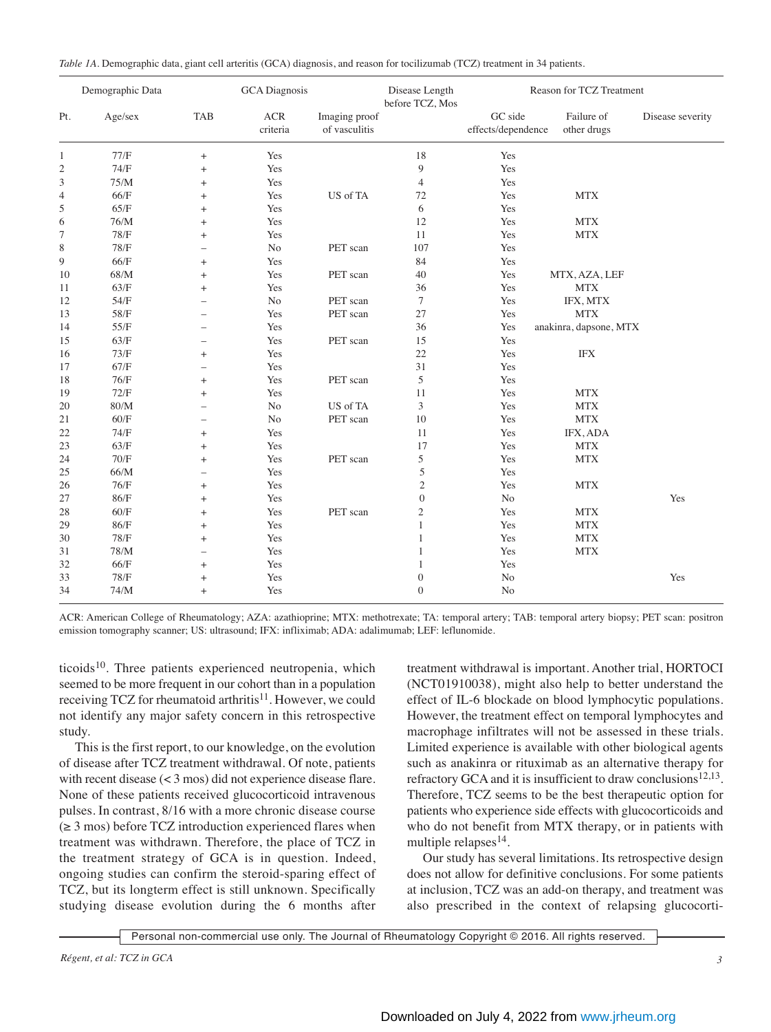| Table 1A. Demographic data, giant cell arteritis (GCA) diagnosis, and reason for tocilizumab (TCZ) treatment in 34 patients. |  |
|------------------------------------------------------------------------------------------------------------------------------|--|
|------------------------------------------------------------------------------------------------------------------------------|--|

| Demographic Data |         | <b>GCA</b> Diagnosis     |                 | Disease Length<br>before TCZ, Mos | Reason for TCZ Treatment |                               |                           |                  |
|------------------|---------|--------------------------|-----------------|-----------------------------------|--------------------------|-------------------------------|---------------------------|------------------|
| Pt.              | Age/sex | <b>TAB</b>               | ACR<br>criteria | Imaging proof<br>of vasculitis    |                          | GC side<br>effects/dependence | Failure of<br>other drugs | Disease severity |
| $\mathbf{1}$     | 77/F    | $^{+}$                   | Yes             |                                   | 18                       | Yes                           |                           |                  |
| $\sqrt{2}$       | 74/F    | $^{+}$                   | Yes             |                                   | 9                        | Yes                           |                           |                  |
| 3                | 75/M    | $^{+}$                   | Yes             |                                   | $\overline{4}$           | Yes                           |                           |                  |
| $\overline{4}$   | 66/F    | $^{+}$                   | Yes             | US of TA                          | 72                       | Yes                           | <b>MTX</b>                |                  |
| 5                | 65/F    | $^{+}$                   | Yes             |                                   | 6                        | Yes                           |                           |                  |
| 6                | 76/M    | $^{+}$                   | Yes             |                                   | 12                       | Yes                           | <b>MTX</b>                |                  |
| 7                | 78/F    | $^{+}$                   | Yes             |                                   | 11                       | Yes                           | <b>MTX</b>                |                  |
| $\,$ 8 $\,$      | $78/F$  | $\overline{\phantom{0}}$ | N <sub>o</sub>  | PET scan                          | 107                      | Yes                           |                           |                  |
| 9                | 66/F    | $^{+}$                   | Yes             |                                   | 84                       | Yes                           |                           |                  |
| 10               | 68/M    | $\ddot{}$                | Yes             | PET scan                          | 40                       | Yes                           | MTX, AZA, LEF             |                  |
| 11               | 63/F    | $^{+}$                   | Yes             |                                   | 36                       | Yes                           | <b>MTX</b>                |                  |
| 12               | 54/F    |                          | N <sub>0</sub>  | PET scan                          | $\tau$                   | Yes                           | IFX, MTX                  |                  |
| 13               | 58/F    |                          | Yes             | PET scan                          | 27                       | Yes                           | <b>MTX</b>                |                  |
| 14               | 55/F    |                          | Yes             |                                   | 36                       | Yes                           | anakinra, dapsone, MTX    |                  |
| 15               | 63/F    | $\overline{\phantom{0}}$ | Yes             | PET scan                          | 15                       | Yes                           |                           |                  |
| 16               | 73/F    | $^{+}$                   | Yes             |                                   | 22                       | Yes                           | $\rm IFX$                 |                  |
| 17               | 67/F    |                          | Yes             |                                   | 31                       | Yes                           |                           |                  |
| 18               | 76/F    | $^{+}$                   | Yes             | PET scan                          | 5                        | Yes                           |                           |                  |
| 19               | 72/F    | $^{+}$                   | Yes             |                                   | 11                       | Yes                           | <b>MTX</b>                |                  |
| 20               | 80/M    |                          | N <sub>o</sub>  | US of TA                          | 3                        | Yes                           | <b>MTX</b>                |                  |
| 21               | 60/F    |                          | N <sub>o</sub>  | PET scan                          | 10                       | Yes                           | <b>MTX</b>                |                  |
| 22               | 74/F    | $^{+}$                   | Yes             |                                   | 11                       | Yes                           | IFX, ADA                  |                  |
| 23               | 63/F    | $^{+}$                   | Yes             |                                   | 17                       | Yes                           | <b>MTX</b>                |                  |
| 24               | 70/F    | $^{+}$                   | Yes             | PET scan                          | 5                        | Yes                           | <b>MTX</b>                |                  |
| 25               | 66/M    | $\overline{\phantom{0}}$ | Yes             |                                   | 5                        | Yes                           |                           |                  |
| 26               | 76/F    | $^{+}$                   | Yes             |                                   | $\mathfrak{2}$           | Yes                           | <b>MTX</b>                |                  |
| 27               | 86/F    | $^{+}$                   | Yes             |                                   | $\overline{0}$           | N <sub>o</sub>                |                           | Yes              |
| 28               | $60/F$  | $^{+}$                   | Yes             | PET scan                          | $\overline{2}$           | Yes                           | <b>MTX</b>                |                  |
| 29               | 86/F    | $^{+}$                   | Yes             |                                   | $\mathbf{1}$             | Yes                           | <b>MTX</b>                |                  |
| 30               | $78/F$  | $^{+}$                   | Yes             |                                   | 1                        | Yes                           | <b>MTX</b>                |                  |
| 31               | $78/M$  | $\overline{\phantom{0}}$ | Yes             |                                   | 1                        | Yes                           | <b>MTX</b>                |                  |
| 32               | 66/F    | $^{+}$                   | Yes             |                                   | 1                        | Yes                           |                           |                  |
| 33               | $78/F$  | $^{+}$                   | Yes             |                                   | $\overline{0}$           | No                            |                           | Yes              |
| 34               | 74/M    | $^{+}$                   | Yes             |                                   | $\overline{0}$           | N <sub>o</sub>                |                           |                  |

ACR: American College of Rheumatology; AZA: azathioprine; MTX: methotrexate; TA: temporal artery; TAB: temporal artery biopsy; PET scan: positron emission tomography scanner; US: ultrasound; IFX: infliximab; ADA: adalimumab; LEF: leflunomide.

ticoids<sup>10</sup>. Three patients experienced neutropenia, which seemed to be more frequent in our cohort than in a population receiving TCZ for rheumatoid arthritis $11$ . However, we could not identify any major safety concern in this retrospective study.

This is the first report, to our knowledge, on the evolution of disease after TCZ treatment withdrawal. Of note, patients with recent disease (< 3 mos) did not experience disease flare. None of these patients received glucocorticoid intravenous pulses. In contrast, 8/16 with a more chronic disease course  $(\geq 3 \text{ mos})$  before TCZ introduction experienced flares when treatment was withdrawn. Therefore, the place of TCZ in the treatment strategy of GCA is in question. Indeed, ongoing studies can confirm the steroid-sparing effect of TCZ, but its longterm effect is still unknown. Specifically studying disease evolution during the 6 months after treatment withdrawal is important. Another trial, HORTOCI (NCT01910038), might also help to better understand the effect of IL-6 blockade on blood lymphocytic populations. However, the treatment effect on temporal lymphocytes and macrophage infiltrates will not be assessed in these trials. Limited experience is available with other biological agents such as anakinra or rituximab as an alternative therapy for refractory GCA and it is insufficient to draw conclusions<sup>12,13</sup>. Therefore, TCZ seems to be the best therapeutic option for patients who experience side effects with glucocorticoids and who do not benefit from MTX therapy, or in patients with multiple relapses $^{14}$ .

Our study has several limitations. Its retrospective design does not allow for definitive conclusions. For some patients at inclusion, TCZ was an add-on therapy, and treatment was also prescribed in the context of relapsing glucocorti-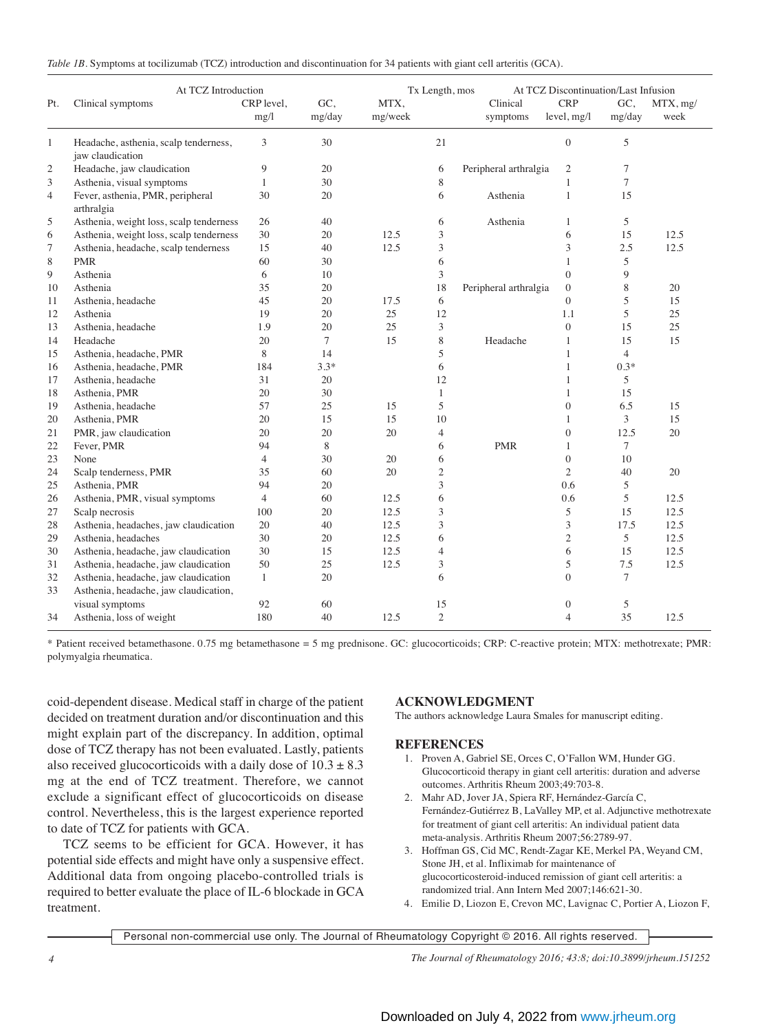| Table 1B. Symptoms at tocilizumab (TCZ) introduction and discontinuation for 34 patients with giant cell arteritis (GCA). |  |  |  |
|---------------------------------------------------------------------------------------------------------------------------|--|--|--|
|---------------------------------------------------------------------------------------------------------------------------|--|--|--|

| At TCZ Introduction |                                                           |                    |                |                 | Tx Length, mos |                       | At TCZ Discontinuation/Last Infusion |                |                  |  |
|---------------------|-----------------------------------------------------------|--------------------|----------------|-----------------|----------------|-----------------------|--------------------------------------|----------------|------------------|--|
| Pt.                 | Clinical symptoms                                         | CRP level,<br>mg/l | GC.<br>mg/day  | MTX,<br>mg/week |                | Clinical<br>symptoms  | <b>CRP</b><br>level, mg/l            | GC.<br>mg/day  | MTX, mg/<br>week |  |
| $\mathbf{1}$        | Headache, asthenia, scalp tenderness,<br>jaw claudication | 3                  | 30             |                 | 21             |                       | $\boldsymbol{0}$                     | 5              |                  |  |
| $\mathfrak{2}$      | Headache, jaw claudication                                | 9                  | 20             |                 | 6              | Peripheral arthralgia | $\mathfrak{2}$                       | 7              |                  |  |
| 3                   | Asthenia, visual symptoms                                 | $\mathbf{1}$       | 30             |                 | 8              |                       | $\mathbf{1}$                         | $\overline{7}$ |                  |  |
| $\overline{4}$      | Fever, asthenia, PMR, peripheral<br>arthralgia            | 30                 | 20             |                 | 6              | Asthenia              | $\mathbf{1}$                         | 15             |                  |  |
| 5                   | Asthenia, weight loss, scalp tenderness                   | 26                 | 40             |                 | 6              | Asthenia              | 1                                    | 5              |                  |  |
| 6                   | Asthenia, weight loss, scalp tenderness                   | 30                 | 20             | 12.5            | 3              |                       | 6                                    | 15             | 12.5             |  |
| 7                   | Asthenia, headache, scalp tenderness                      | 15                 | 40             | 12.5            | 3              |                       | 3                                    | 2.5            | 12.5             |  |
| 8                   | <b>PMR</b>                                                | 60                 | 30             |                 | 6              |                       | $\mathbf{1}$                         | 5              |                  |  |
| 9                   | Asthenia                                                  | 6                  | 10             |                 | 3              |                       | $\overline{0}$                       | 9              |                  |  |
| 10                  | Asthenia                                                  | 35                 | 20             |                 | 18             | Peripheral arthralgia | $\overline{0}$                       | 8              | 20               |  |
| 11                  | Asthenia, headache                                        | 45                 | 20             | 17.5            | 6              |                       | $\overline{0}$                       | 5              | 15               |  |
| 12                  | Asthenia                                                  | 19                 | 20             | 25              | 12             |                       | 1.1                                  | 5              | 25               |  |
| 13                  | Asthenia, headache                                        | 1.9                | 20             | 25              | 3              |                       | $\overline{0}$                       | 15             | 25               |  |
| 14                  | Headache                                                  | 20                 | $\overline{7}$ | 15              | 8              | Headache              | 1                                    | 15             | 15               |  |
| 15                  | Asthenia, headache, PMR                                   | 8                  | 14             |                 | 5              |                       | $\mathbf{1}$                         | $\overline{4}$ |                  |  |
| 16                  | Asthenia, headache, PMR                                   | 184                | $3.3*$         |                 | 6              |                       | 1                                    | $0.3*$         |                  |  |
| 17                  | Asthenia, headache                                        | 31                 | 20             |                 | 12             |                       | $\mathbf{1}$                         | 5              |                  |  |
| 18                  | Asthenia, PMR                                             | 20                 | 30             |                 | $\mathbf{1}$   |                       | $\mathbf{1}$                         | 15             |                  |  |
| 19                  | Asthenia, headache                                        | 57                 | 25             | 15              | 5              |                       | $\overline{0}$                       | 6.5            | 15               |  |
| 20                  | Asthenia, PMR                                             | 20                 | 15             | 15              | 10             |                       | $\mathbf{1}$                         | 3              | 15               |  |
| 21                  | PMR, jaw claudication                                     | 20                 | 20             | 20              | $\overline{4}$ |                       | $\overline{0}$                       | 12.5           | 20               |  |
| 22                  | Fever, PMR                                                | 94                 | 8              |                 | 6              | <b>PMR</b>            | 1                                    | $\tau$         |                  |  |
| 23                  | None                                                      | $\overline{4}$     | 30             | 20              | 6              |                       | $\overline{0}$                       | 10             |                  |  |
| 24                  | Scalp tenderness, PMR                                     | 35                 | 60             | 20              | $\mathfrak{2}$ |                       | $\overline{2}$                       | 40             | 20               |  |
| 25                  | Asthenia, PMR                                             | 94                 | 20             |                 | $\overline{3}$ |                       | 0.6                                  | 5              |                  |  |
| 26                  | Asthenia, PMR, visual symptoms                            | $\overline{4}$     | 60             | 12.5            | 6              |                       | 0.6                                  | 5              | 12.5             |  |
| 27                  | Scalp necrosis                                            | 100                | 20             | 12.5            | 3              |                       | 5                                    | 15             | 12.5             |  |
| 28                  | Asthenia, headaches, jaw claudication                     | 20                 | 40             | 12.5            | 3              |                       | 3                                    | 17.5           | 12.5             |  |
| 29                  | Asthenia, headaches                                       | 30                 | 20             | 12.5            | 6              |                       | $\mathfrak{2}$                       | 5              | 12.5             |  |
| 30                  | Asthenia, headache, jaw claudication                      | 30                 | 15             | 12.5            | $\overline{4}$ |                       | 6                                    | 15             | 12.5             |  |
| 31                  | Asthenia, headache, jaw claudication                      | 50                 | 25             | 12.5            | 3              |                       | 5                                    | 7.5            | 12.5             |  |
| 32                  | Asthenia, headache, jaw claudication                      | $\mathbf{1}$       | 20             |                 | 6              |                       | $\overline{0}$                       | 7              |                  |  |
| 33                  | Asthenia, headache, jaw claudication,                     |                    |                |                 |                |                       |                                      |                |                  |  |
|                     | visual symptoms                                           | 92                 | 60             |                 | 15             |                       | $\boldsymbol{0}$                     | 5              |                  |  |
| 34                  | Asthenia, loss of weight                                  | 180                | 40             | 12.5            | $\mathfrak{2}$ |                       | $\overline{4}$                       | 35             | 12.5             |  |

\* Patient received betamethasone. 0.75 mg betamethasone = 5 mg prednisone. GC: glucocorticoids; CRP: C-reactive protein; MTX: methotrexate; PMR: polymyalgia rheumatica.

coid-dependent disease. Medical staff in charge of the patient decided on treatment duration and/or discontinuation and this might explain part of the discrepancy. In addition, optimal dose of TCZ therapy has not been evaluated. Lastly, patients also received glucocorticoids with a daily dose of  $10.3 \pm 8.3$ mg at the end of TCZ treatment. Therefore, we cannot exclude a significant effect of glucocorticoids on disease control. Nevertheless, this is the largest experience reported to date of TCZ for patients with GCA.

TCZ seems to be efficient for GCA. However, it has potential side effects and might have only a suspensive effect. Additional data from ongoing placebo-controlled trials is required to better evaluate the place of IL-6 blockade in GCA treatment.

## **ACKNOWLEDGMENT**

The authors acknowledge Laura Smales for manuscript editing.

## **REFERENCES**

- 1. Proven A, Gabriel SE, Orces C, O'Fallon WM, Hunder GG. Glucocorticoid therapy in giant cell arteritis: duration and adverse outcomes. Arthritis Rheum 2003;49:703-8.
- 2. Mahr AD, Jover JA, Spiera RF, Hernández-García C, Fernández-Gutiérrez B, LaValley MP, et al. Adjunctive methotrexate for treatment of giant cell arteritis: An individual patient data meta-analysis. Arthritis Rheum 2007;56:2789-97.
- 3. Hoffman GS, Cid MC, Rendt-Zagar KE, Merkel PA, Weyand CM, Stone JH, et al. Infliximab for maintenance of glucocorticosteroid-induced remission of giant cell arteritis: a randomized trial. Ann Intern Med 2007;146:621-30.
- 4. Emilie D, Liozon E, Crevon MC, Lavignac C, Portier A, Liozon F,

Personal non-commercial use only. The Journal of Rheumatology Copyright © 2016. All rights reserved.

*4 The Journal of Rheumatology 2016; 43:8; doi:10.3899/jrheum.151252*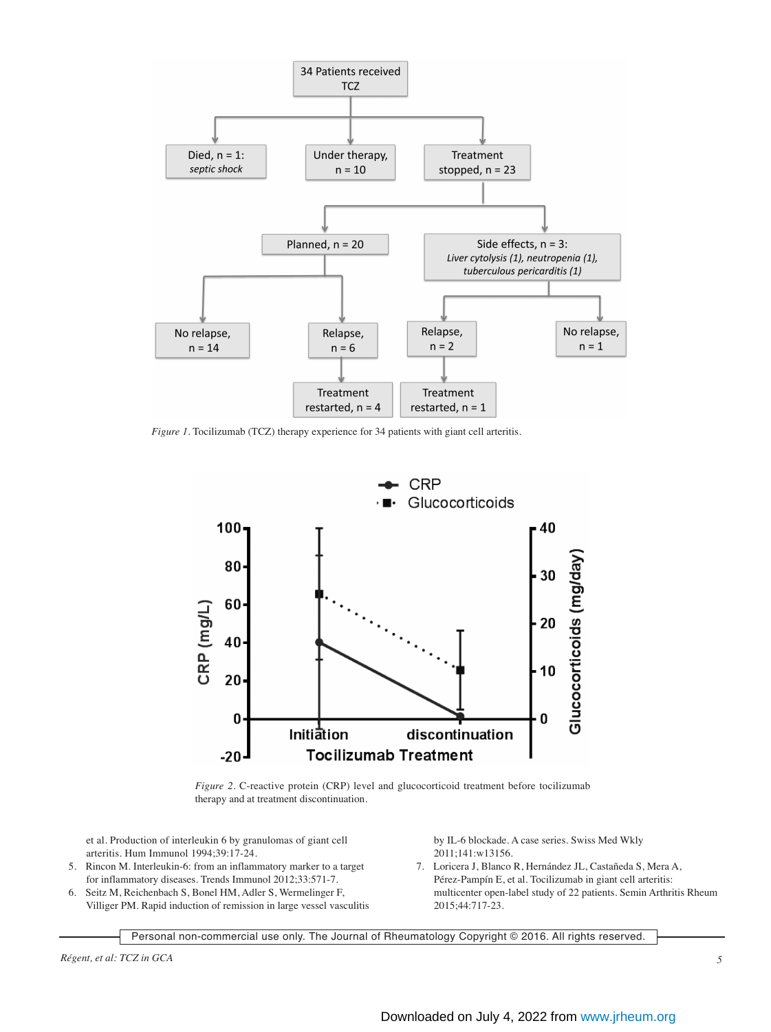

*Figure 1.* Tocilizumab (TCZ) therapy experience for 34 patients with giant cell arteritis.



*Figure 2.* C-reactive protein (CRP) level and glucocorticoid treatment before tocilizumab therapy and at treatment discontinuation.

et al. Production of interleukin 6 by granulomas of giant cell arteritis. Hum Immunol 1994;39:17-24.

- 5. Rincon M. Interleukin-6: from an inflammatory marker to a target for inflammatory diseases. Trends Immunol 2012;33:571-7.
- 6. Seitz M, Reichenbach S, Bonel HM, Adler S, Wermelinger F, Villiger PM. Rapid induction of remission in large vessel vasculitis

by IL-6 blockade. A case series. Swiss Med Wkly 2011;141:w13156.

 7. Loricera J, Blanco R, Hernández JL, Castañeda S, Mera A, Pérez-Pampín E, et al. Tocilizumab in giant cell arteritis: multicenter open-label study of 22 patients. Semin Arthritis Rheum 2015;44:717-23.